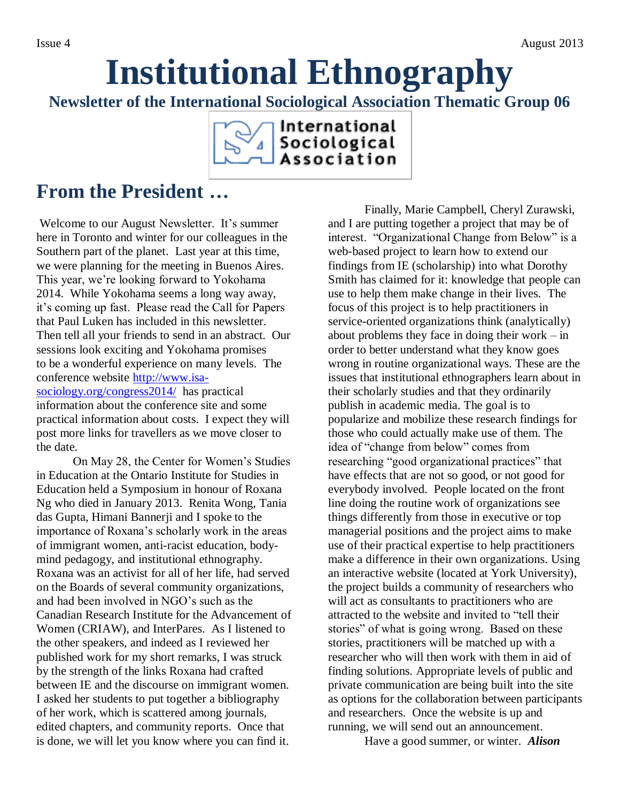# **Institutional Ethnography**

**Newsletter of the International Sociological Association Thematic Group 06**



## **From the President …**

Welcome to our August Newsletter. It's summer here in Toronto and winter for our colleagues in the Southern part of the planet. Last year at this time, we were planning for the meeting in Buenos Aires. This year, we're looking forward to Yokohama 2014. While Yokohama seems a long way away, it's coming up fast. Please read the Call for Papers that Paul Luken has included in this newsletter. Then tell all your friends to send in an abstract. Our sessions look exciting and Yokohama promises to be a wonderful experience on many levels. The conference website [http://www.isa](http://www.isa-sociology.org/congress2014/)[sociology.org/congress2014/](http://www.isa-sociology.org/congress2014/) has practical information about the conference site and some practical information about costs. I expect they will post more links for travellers as we move closer to the date.

On May 28, the Center for Women's Studies in Education at the Ontario Institute for Studies in Education held a Symposium in honour of Roxana Ng who died in January 2013. Renita Wong, Tania das Gupta, Himani Bannerji and I spoke to the importance of Roxana's scholarly work in the areas of immigrant women, anti-racist education, bodymind pedagogy, and institutional ethnography. Roxana was an activist for all of her life, had served on the Boards of several community organizations, and had been involved in NGO's such as the Canadian Research Institute for the Advancement of Women (CRIAW), and InterPares. As I listened to the other speakers, and indeed as I reviewed her published work for my short remarks, I was struck by the strength of the links Roxana had crafted between IE and the discourse on immigrant women. I asked her students to put together a bibliography of her work, which is scattered among journals, edited chapters, and community reports. Once that is done, we will let you know where you can find it.

Finally, Marie Campbell, Cheryl Zurawski, and I are putting together a project that may be of interest. "Organizational Change from Below" is a web-based project to learn how to extend our findings from IE (scholarship) into what Dorothy Smith has claimed for it: knowledge that people can use to help them make change in their lives. The focus of this project is to help practitioners in service-oriented organizations think (analytically) about problems they face in doing their work – in order to better understand what they know goes wrong in routine organizational ways. These are the issues that institutional ethnographers learn about in their scholarly studies and that they ordinarily publish in academic media. The goal is to popularize and mobilize these research findings for those who could actually make use of them. The idea of "change from below" comes from researching "good organizational practices" that have effects that are not so good, or not good for everybody involved. People located on the front line doing the routine work of organizations see things differently from those in executive or top managerial positions and the project aims to make use of their practical expertise to help practitioners make a difference in their own organizations. Using an interactive website (located at York University), the project builds a community of researchers who will act as consultants to practitioners who are attracted to the website and invited to "tell their stories" of what is going wrong. Based on these stories, practitioners will be matched up with a researcher who will then work with them in aid of finding solutions. Appropriate levels of public and private communication are being built into the site as options for the collaboration between participants and researchers. Once the website is up and running, we will send out an announcement.

Have a good summer, or winter. *Alison*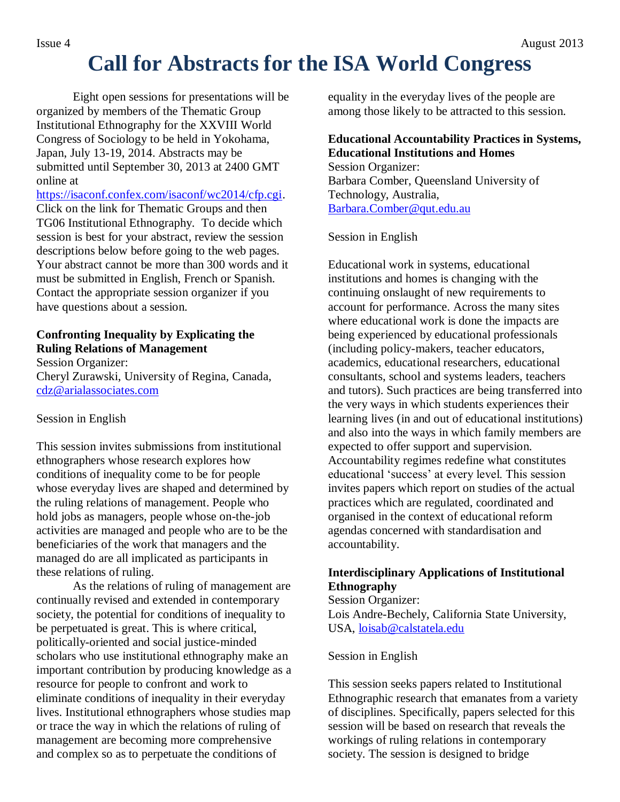## **Call for Abstracts for the ISA World Congress**

Eight open sessions for presentations will be organized by members of the Thematic Group Institutional Ethnography for the XXVIII World Congress of Sociology to be held in Yokohama, Japan, July 13-19, 2014. Abstracts may be submitted until September 30, 2013 at 2400 GMT online at

[https://isaconf.confex.com/isaconf/wc2014/cfp.cgi.](https://isaconf.confex.com/isaconf/wc2014/cfp.cgi) Click on the link for Thematic Groups and then TG06 Institutional Ethnography. To decide which session is best for your abstract, review the session descriptions below before going to the web pages. Your abstract cannot be more than 300 words and it must be submitted in English, French or Spanish. Contact the appropriate session organizer if you have questions about a session.

### **Confronting Inequality by Explicating the Ruling Relations of Management**

Session Organizer: Cheryl Zurawski, University of Regina, Canada, [cdz@arialassociates.com](mailto:cdz@arialassociates.com)

### Session in English

This session invites submissions from institutional ethnographers whose research explores how conditions of inequality come to be for people whose everyday lives are shaped and determined by the ruling relations of management. People who hold jobs as managers, people whose on-the-job activities are managed and people who are to be the beneficiaries of the work that managers and the managed do are all implicated as participants in these relations of ruling.

As the relations of ruling of management are continually revised and extended in contemporary society, the potential for conditions of inequality to be perpetuated is great. This is where critical, politically-oriented and social justice-minded scholars who use institutional ethnography make an important contribution by producing knowledge as a resource for people to confront and work to eliminate conditions of inequality in their everyday lives. Institutional ethnographers whose studies map or trace the way in which the relations of ruling of management are becoming more comprehensive and complex so as to perpetuate the conditions of

equality in the everyday lives of the people are among those likely to be attracted to this session.

### **Educational Accountability Practices in Systems, Educational Institutions and Homes**

Session Organizer: Barbara Comber, Queensland University of Technology, Australia, [Barbara.Comber@qut.edu.au](mailto:Barbara.Comber@qut.edu.au)

### Session in English

Educational work in systems, educational institutions and homes is changing with the continuing onslaught of new requirements to account for performance. Across the many sites where educational work is done the impacts are being experienced by educational professionals (including policy-makers, teacher educators, academics, educational researchers, educational consultants, school and systems leaders, teachers and tutors). Such practices are being transferred into the very ways in which students experiences their learning lives (in and out of educational institutions) and also into the ways in which family members are expected to offer support and supervision. Accountability regimes redefine what constitutes educational 'success' at every level. This session invites papers which report on studies of the actual practices which are regulated, coordinated and organised in the context of educational reform agendas concerned with standardisation and accountability.

### **Interdisciplinary Applications of Institutional Ethnography**

Session Organizer: Lois Andre-Bechely, California State University, USA, [loisab@calstatela.edu](mailto:loisab@calstatela.edu)

#### Session in English

This session seeks papers related to Institutional Ethnographic research that emanates from a variety of disciplines. Specifically, papers selected for this session will be based on research that reveals the workings of ruling relations in contemporary society. The session is designed to bridge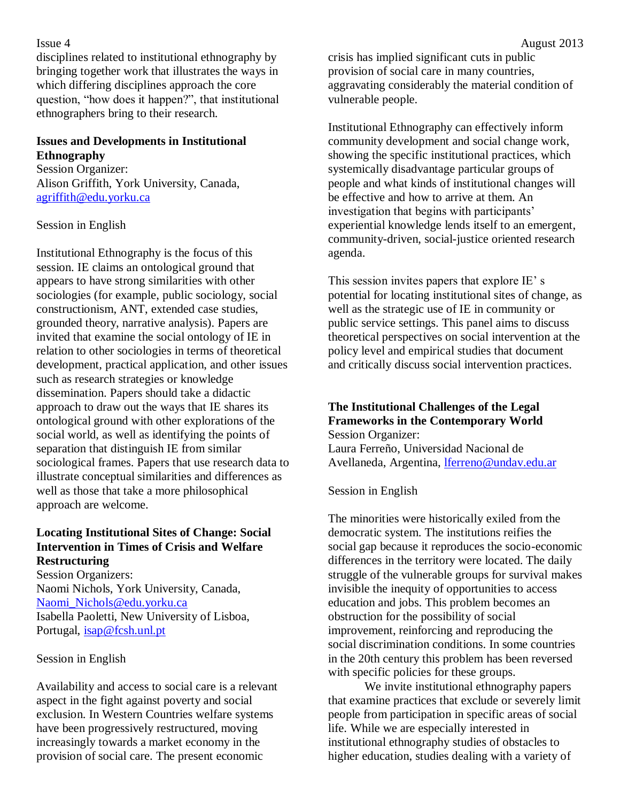#### Issue 4 August 2013

disciplines related to institutional ethnography by bringing together work that illustrates the ways in which differing disciplines approach the core question, "how does it happen?", that institutional ethnographers bring to their research.

#### **Issues and Developments in Institutional Ethnography**

Session Organizer: Alison Griffith, York University, Canada, [agriffith@edu.yorku.ca](mailto:agriffith@edu.yorku.ca)

#### Session in English

Institutional Ethnography is the focus of this session. IE claims an ontological ground that appears to have strong similarities with other sociologies (for example, public sociology, social constructionism, ANT, extended case studies, grounded theory, narrative analysis). Papers are invited that examine the social ontology of IE in relation to other sociologies in terms of theoretical development, practical application, and other issues such as research strategies or knowledge dissemination. Papers should take a didactic approach to draw out the ways that IE shares its ontological ground with other explorations of the social world, as well as identifying the points of separation that distinguish IE from similar sociological frames. Papers that use research data to illustrate conceptual similarities and differences as well as those that take a more philosophical approach are welcome.

#### **Locating Institutional Sites of Change: Social Intervention in Times of Crisis and Welfare Restructuring**

Session Organizers: Naomi Nichols, York University, Canada, [Naomi\\_Nichols@edu.yorku.ca](mailto:Naomi_Nichols@edu.yorku.ca) Isabella Paoletti, New University of Lisboa, Portugal, [isap@fcsh.unl.pt](mailto:isap@fcsh.unl.pt)

#### Session in English

Availability and access to social care is a relevant aspect in the fight against poverty and social exclusion. In Western Countries welfare systems have been progressively restructured, moving increasingly towards a market economy in the provision of social care. The present economic

crisis has implied significant cuts in public provision of social care in many countries, aggravating considerably the material condition of vulnerable people.

Institutional Ethnography can effectively inform community development and social change work, showing the specific institutional practices, which systemically disadvantage particular groups of people and what kinds of institutional changes will be effective and how to arrive at them. An investigation that begins with participants' experiential knowledge lends itself to an emergent, community-driven, social-justice oriented research agenda.

This session invites papers that explore IE' s potential for locating institutional sites of change, as well as the strategic use of IE in community or public service settings. This panel aims to discuss theoretical perspectives on social intervention at the policy level and empirical studies that document and critically discuss social intervention practices.

#### **The Institutional Challenges of the Legal Frameworks in the Contemporary World** Session Organizer:

Laura Ferreño, Universidad Nacional de Avellaneda, Argentina, *lferreno@undav.edu.ar* 

Session in English

The minorities were historically exiled from the democratic system. The institutions reifies the social gap because it reproduces the socio-economic differences in the territory were located. The daily struggle of the vulnerable groups for survival makes invisible the inequity of opportunities to access education and jobs. This problem becomes an obstruction for the possibility of social improvement, reinforcing and reproducing the social discrimination conditions. In some countries in the 20th century this problem has been reversed with specific policies for these groups.

We invite institutional ethnography papers that examine practices that exclude or severely limit people from participation in specific areas of social life. While we are especially interested in institutional ethnography studies of obstacles to higher education, studies dealing with a variety of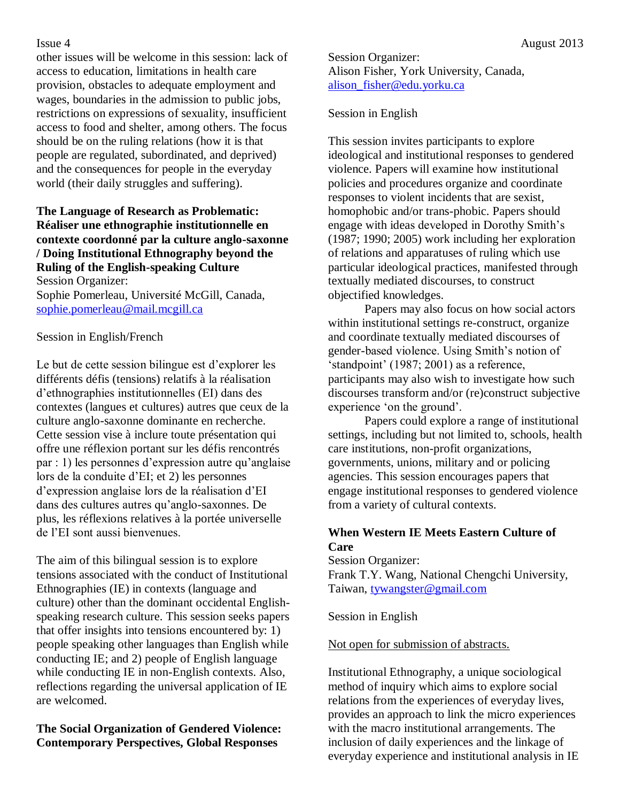other issues will be welcome in this session: lack of access to education, limitations in health care provision, obstacles to adequate employment and wages, boundaries in the admission to public jobs, restrictions on expressions of sexuality, insufficient access to food and shelter, among others. The focus should be on the ruling relations (how it is that people are regulated, subordinated, and deprived) and the consequences for people in the everyday world (their daily struggles and suffering).

#### **The Language of Research as Problematic: Réaliser une ethnographie institutionnelle en contexte coordonné par la culture anglo-saxonne / Doing Institutional Ethnography beyond the Ruling of the English-speaking Culture** Session Organizer:

Sophie Pomerleau, Université McGill, Canada, [sophie.pomerleau@mail.mcgill.ca](mailto:sophie.pomerleau@mail.mcgill.ca)

### Session in English/French

Le but de cette session bilingue est d'explorer les différents défis (tensions) relatifs à la réalisation d'ethnographies institutionnelles (EI) dans des contextes (langues et cultures) autres que ceux de la culture anglo-saxonne dominante en recherche. Cette session vise à inclure toute présentation qui offre une réflexion portant sur les défis rencontrés par : 1) les personnes d'expression autre qu'anglaise lors de la conduite d'EI; et 2) les personnes d'expression anglaise lors de la réalisation d'EI dans des cultures autres qu'anglo-saxonnes. De plus, les réflexions relatives à la portée universelle de l'EI sont aussi bienvenues.

The aim of this bilingual session is to explore tensions associated with the conduct of Institutional Ethnographies (IE) in contexts (language and culture) other than the dominant occidental Englishspeaking research culture. This session seeks papers that offer insights into tensions encountered by: 1) people speaking other languages than English while conducting IE; and 2) people of English language while conducting IE in non-English contexts. Also, reflections regarding the universal application of IE are welcomed.

### **The Social Organization of Gendered Violence: Contemporary Perspectives, Global Responses**

Session Organizer: Alison Fisher, York University, Canada, [alison\\_fisher@edu.yorku.ca](mailto:alison_fisher@edu.yorku.ca)

#### Session in English

This session invites participants to explore ideological and institutional responses to gendered violence. Papers will examine how institutional policies and procedures organize and coordinate responses to violent incidents that are sexist, homophobic and/or trans-phobic. Papers should engage with ideas developed in Dorothy Smith's (1987; 1990; 2005) work including her exploration of relations and apparatuses of ruling which use particular ideological practices, manifested through textually mediated discourses, to construct objectified knowledges.

Papers may also focus on how social actors within institutional settings re-construct, organize and coordinate textually mediated discourses of gender-based violence. Using Smith's notion of 'standpoint' (1987; 2001) as a reference, participants may also wish to investigate how such discourses transform and/or (re)construct subjective experience 'on the ground'.

Papers could explore a range of institutional settings, including but not limited to, schools, health care institutions, non-profit organizations, governments, unions, military and or policing agencies. This session encourages papers that engage institutional responses to gendered violence from a variety of cultural contexts.

### **When Western IE Meets Eastern Culture of Care**

Session Organizer: Frank T.Y. Wang, National Chengchi University, Taiwan, [tywangster@gmail.com](mailto:tywangster@gmail.com)

Session in English

### Not open for submission of abstracts.

Institutional Ethnography, a unique sociological method of inquiry which aims to explore social relations from the experiences of everyday lives, provides an approach to link the micro experiences with the macro institutional arrangements. The inclusion of daily experiences and the linkage of everyday experience and institutional analysis in IE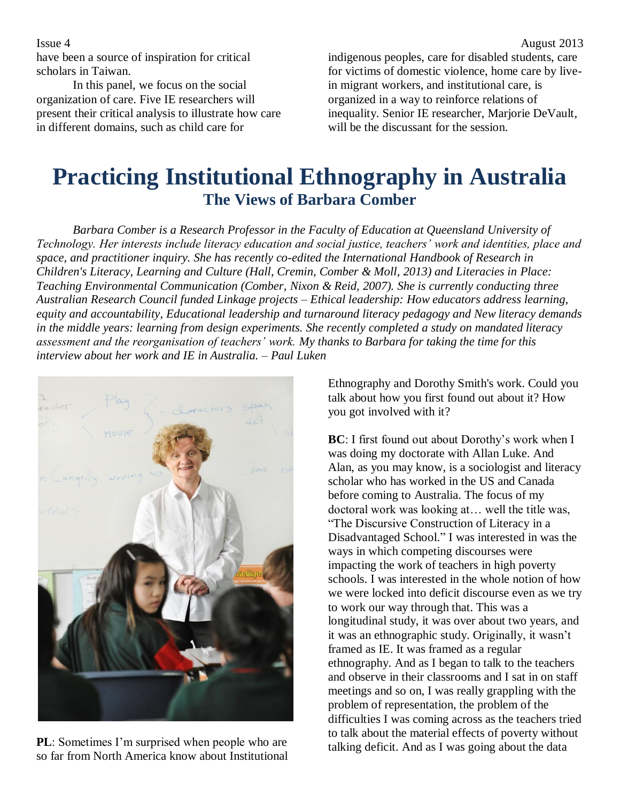have been a source of inspiration for critical scholars in Taiwan.

In this panel, we focus on the social organization of care. Five IE researchers will present their critical analysis to illustrate how care in different domains, such as child care for

indigenous peoples, care for disabled students, care for victims of domestic violence, home care by livein migrant workers, and institutional care, is organized in a way to reinforce relations of inequality. Senior IE researcher, Marjorie DeVault, will be the discussant for the session.

## **Practicing Institutional Ethnography in Australia The Views of Barbara Comber**

*Barbara Comber is a Research Professor in the Faculty of Education at Queensland University of Technology. Her interests include literacy education and social justice, teachers' work and identities, place and space, and practitioner inquiry. She has recently co-edited the International Handbook of Research in Children's Literacy, Learning and Culture (Hall, Cremin, Comber & Moll, 2013) and Literacies in Place: Teaching Environmental Communication (Comber, Nixon & Reid, 2007). She is currently conducting three Australian Research Council funded Linkage projects – Ethical leadership: How educators address learning, equity and accountability, Educational leadership and turnaround literacy pedagogy and New literacy demands in the middle years: learning from design experiments. She recently completed a study on mandated literacy assessment and the reorganisation of teachers' work. My thanks to Barbara for taking the time for this interview about her work and IE in Australia. – Paul Luken*



**PL**: Sometimes I'm surprised when people who are so far from North America know about Institutional

Ethnography and Dorothy Smith's work. Could you talk about how you first found out about it? How you got involved with it?

**BC**: I first found out about Dorothy's work when I was doing my doctorate with Allan Luke. And Alan, as you may know, is a sociologist and literacy scholar who has worked in the US and Canada before coming to Australia. The focus of my doctoral work was looking at… well the title was, "The Discursive Construction of Literacy in a Disadvantaged School." I was interested in was the ways in which competing discourses were impacting the work of teachers in high poverty schools. I was interested in the whole notion of how we were locked into deficit discourse even as we try to work our way through that. This was a longitudinal study, it was over about two years, and it was an ethnographic study. Originally, it wasn't framed as IE. It was framed as a regular ethnography. And as I began to talk to the teachers and observe in their classrooms and I sat in on staff meetings and so on, I was really grappling with the problem of representation, the problem of the difficulties I was coming across as the teachers tried to talk about the material effects of poverty without talking deficit. And as I was going about the data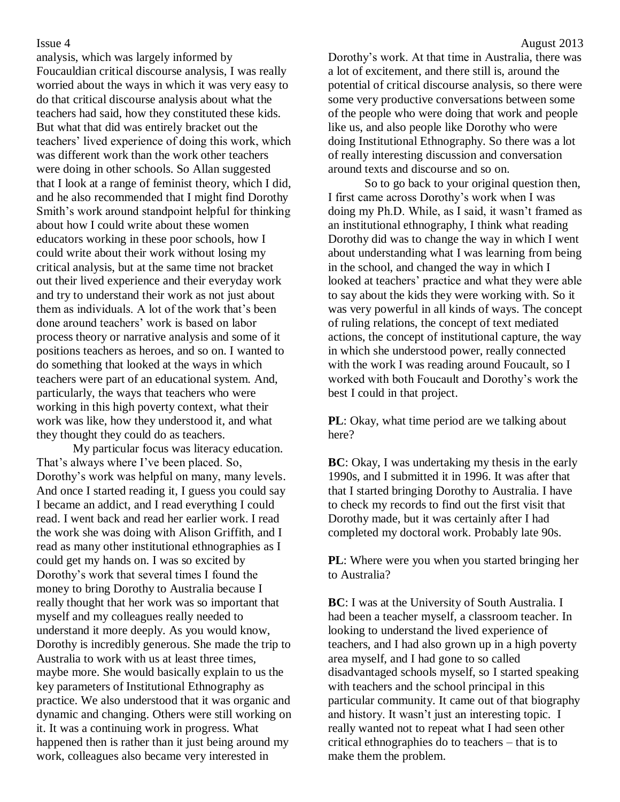analysis, which was largely informed by Foucauldian critical discourse analysis, I was really worried about the ways in which it was very easy to do that critical discourse analysis about what the teachers had said, how they constituted these kids. But what that did was entirely bracket out the teachers' lived experience of doing this work, which was different work than the work other teachers were doing in other schools. So Allan suggested that I look at a range of feminist theory, which I did, and he also recommended that I might find Dorothy Smith's work around standpoint helpful for thinking about how I could write about these women educators working in these poor schools, how I could write about their work without losing my critical analysis, but at the same time not bracket out their lived experience and their everyday work and try to understand their work as not just about them as individuals. A lot of the work that's been done around teachers' work is based on labor process theory or narrative analysis and some of it positions teachers as heroes, and so on. I wanted to do something that looked at the ways in which teachers were part of an educational system. And, particularly, the ways that teachers who were working in this high poverty context, what their work was like, how they understood it, and what they thought they could do as teachers.

My particular focus was literacy education. That's always where I've been placed. So, Dorothy's work was helpful on many, many levels. And once I started reading it, I guess you could say I became an addict, and I read everything I could read. I went back and read her earlier work. I read the work she was doing with Alison Griffith, and I read as many other institutional ethnographies as I could get my hands on. I was so excited by Dorothy's work that several times I found the money to bring Dorothy to Australia because I really thought that her work was so important that myself and my colleagues really needed to understand it more deeply. As you would know, Dorothy is incredibly generous. She made the trip to Australia to work with us at least three times, maybe more. She would basically explain to us the key parameters of Institutional Ethnography as practice. We also understood that it was organic and dynamic and changing. Others were still working on it. It was a continuing work in progress. What happened then is rather than it just being around my work, colleagues also became very interested in

Dorothy's work. At that time in Australia, there was a lot of excitement, and there still is, around the potential of critical discourse analysis, so there were some very productive conversations between some of the people who were doing that work and people like us, and also people like Dorothy who were doing Institutional Ethnography. So there was a lot of really interesting discussion and conversation around texts and discourse and so on.

So to go back to your original question then, I first came across Dorothy's work when I was doing my Ph.D. While, as I said, it wasn't framed as an institutional ethnography, I think what reading Dorothy did was to change the way in which I went about understanding what I was learning from being in the school, and changed the way in which I looked at teachers' practice and what they were able to say about the kids they were working with. So it was very powerful in all kinds of ways. The concept of ruling relations, the concept of text mediated actions, the concept of institutional capture, the way in which she understood power, really connected with the work I was reading around Foucault, so I worked with both Foucault and Dorothy's work the best I could in that project.

**PL**: Okay, what time period are we talking about here?

**BC**: Okay, I was undertaking my thesis in the early 1990s, and I submitted it in 1996. It was after that that I started bringing Dorothy to Australia. I have to check my records to find out the first visit that Dorothy made, but it was certainly after I had completed my doctoral work. Probably late 90s.

**PL**: Where were you when you started bringing her to Australia?

**BC**: I was at the University of South Australia. I had been a teacher myself, a classroom teacher. In looking to understand the lived experience of teachers, and I had also grown up in a high poverty area myself, and I had gone to so called disadvantaged schools myself, so I started speaking with teachers and the school principal in this particular community. It came out of that biography and history. It wasn't just an interesting topic. I really wanted not to repeat what I had seen other critical ethnographies do to teachers – that is to make them the problem.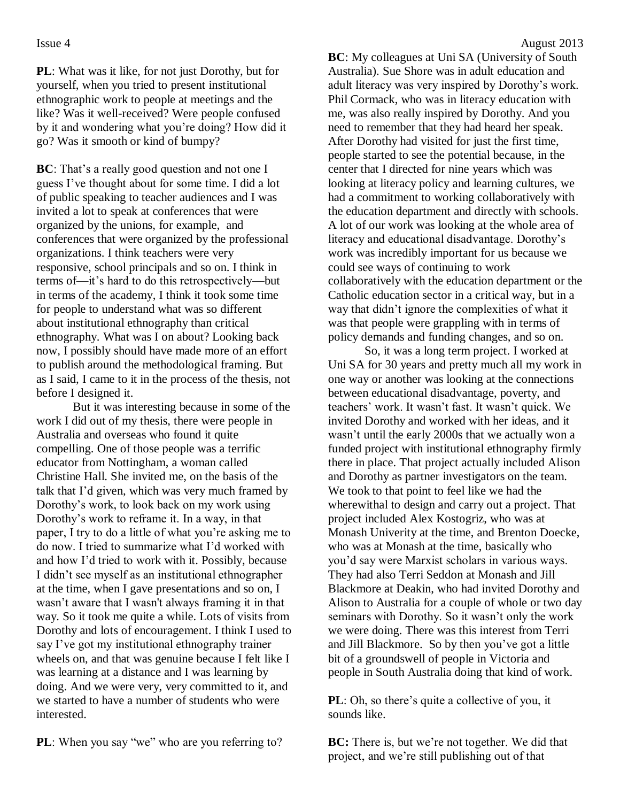**PL**: What was it like, for not just Dorothy, but for yourself, when you tried to present institutional ethnographic work to people at meetings and the like? Was it well-received? Were people confused by it and wondering what you're doing? How did it go? Was it smooth or kind of bumpy?

**BC**: That's a really good question and not one I guess I've thought about for some time. I did a lot of public speaking to teacher audiences and I was invited a lot to speak at conferences that were organized by the unions, for example, and conferences that were organized by the professional organizations. I think teachers were very responsive, school principals and so on. I think in terms of—it's hard to do this retrospectively—but in terms of the academy, I think it took some time for people to understand what was so different about institutional ethnography than critical ethnography. What was I on about? Looking back now, I possibly should have made more of an effort to publish around the methodological framing. But as I said, I came to it in the process of the thesis, not before I designed it.

But it was interesting because in some of the work I did out of my thesis, there were people in Australia and overseas who found it quite compelling. One of those people was a terrific educator from Nottingham, a woman called Christine Hall. She invited me, on the basis of the talk that I'd given, which was very much framed by Dorothy's work, to look back on my work using Dorothy's work to reframe it. In a way, in that paper, I try to do a little of what you're asking me to do now. I tried to summarize what I'd worked with and how I'd tried to work with it. Possibly, because I didn't see myself as an institutional ethnographer at the time, when I gave presentations and so on, I wasn't aware that I wasn't always framing it in that way. So it took me quite a while. Lots of visits from Dorothy and lots of encouragement. I think I used to say I've got my institutional ethnography trainer wheels on, and that was genuine because I felt like I was learning at a distance and I was learning by doing. And we were very, very committed to it, and we started to have a number of students who were interested.

**PL**: When you say "we" who are you referring to?

**BC**: My colleagues at Uni SA (University of South Australia). Sue Shore was in adult education and adult literacy was very inspired by Dorothy's work. Phil Cormack, who was in literacy education with me, was also really inspired by Dorothy. And you need to remember that they had heard her speak. After Dorothy had visited for just the first time, people started to see the potential because, in the center that I directed for nine years which was looking at literacy policy and learning cultures, we had a commitment to working collaboratively with the education department and directly with schools. A lot of our work was looking at the whole area of literacy and educational disadvantage. Dorothy's work was incredibly important for us because we could see ways of continuing to work collaboratively with the education department or the Catholic education sector in a critical way, but in a way that didn't ignore the complexities of what it was that people were grappling with in terms of policy demands and funding changes, and so on.

So, it was a long term project. I worked at Uni SA for 30 years and pretty much all my work in one way or another was looking at the connections between educational disadvantage, poverty, and teachers' work. It wasn't fast. It wasn't quick. We invited Dorothy and worked with her ideas, and it wasn't until the early 2000s that we actually won a funded project with institutional ethnography firmly there in place. That project actually included Alison and Dorothy as partner investigators on the team. We took to that point to feel like we had the wherewithal to design and carry out a project. That project included Alex Kostogriz, who was at Monash Univerity at the time, and Brenton Doecke, who was at Monash at the time, basically who you'd say were Marxist scholars in various ways. They had also Terri Seddon at Monash and Jill Blackmore at Deakin, who had invited Dorothy and Alison to Australia for a couple of whole or two day seminars with Dorothy. So it wasn't only the work we were doing. There was this interest from Terri and Jill Blackmore. So by then you've got a little bit of a groundswell of people in Victoria and people in South Australia doing that kind of work.

**PL**: Oh, so there's quite a collective of you, it sounds like.

**BC:** There is, but we're not together. We did that project, and we're still publishing out of that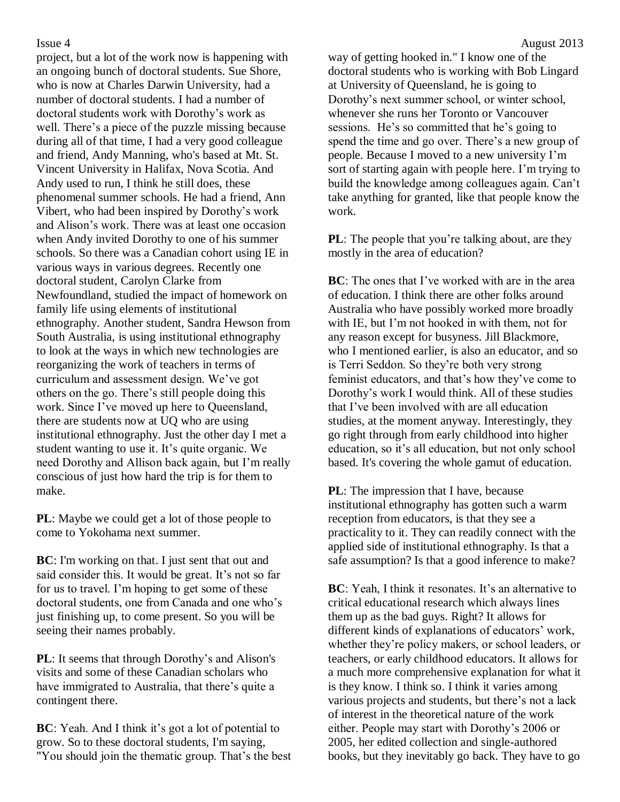project, but a lot of the work now is happening with an ongoing bunch of doctoral students. Sue Shore, who is now at Charles Darwin University, had a number of doctoral students. I had a number of doctoral students work with Dorothy's work as well. There's a piece of the puzzle missing because during all of that time, I had a very good colleague and friend, Andy Manning, who's based at Mt. St. Vincent University in Halifax, Nova Scotia. And Andy used to run, I think he still does, these phenomenal summer schools. He had a friend, Ann Vibert, who had been inspired by Dorothy's work and Alison's work. There was at least one occasion when Andy invited Dorothy to one of his summer schools. So there was a Canadian cohort using IE in various ways in various degrees. Recently one doctoral student, Carolyn Clarke from Newfoundland, studied the impact of homework on family life using elements of institutional ethnography. Another student, Sandra Hewson from South Australia, is using institutional ethnography to look at the ways in which new technologies are reorganizing the work of teachers in terms of curriculum and assessment design. We've got others on the go. There's still people doing this work. Since I've moved up here to Queensland, there are students now at UQ who are using institutional ethnography. Just the other day I met a student wanting to use it. It's quite organic. We need Dorothy and Allison back again, but I'm really conscious of just how hard the trip is for them to make.

**PL**: Maybe we could get a lot of those people to come to Yokohama next summer.

**BC**: I'm working on that. I just sent that out and said consider this. It would be great. It's not so far for us to travel. I'm hoping to get some of these doctoral students, one from Canada and one who's just finishing up, to come present. So you will be seeing their names probably.

**PL**: It seems that through Dorothy's and Alison's visits and some of these Canadian scholars who have immigrated to Australia, that there's quite a contingent there.

**BC**: Yeah. And I think it's got a lot of potential to grow. So to these doctoral students, I'm saying, "You should join the thematic group. That's the best way of getting hooked in." I know one of the doctoral students who is working with Bob Lingard at University of Queensland, he is going to Dorothy's next summer school, or winter school, whenever she runs her Toronto or Vancouver sessions. He's so committed that he's going to spend the time and go over. There's a new group of people. Because I moved to a new university I'm sort of starting again with people here. I'm trying to build the knowledge among colleagues again. Can't take anything for granted, like that people know the work.

**PL**: The people that you're talking about, are they mostly in the area of education?

**BC**: The ones that I've worked with are in the area of education. I think there are other folks around Australia who have possibly worked more broadly with IE, but I'm not hooked in with them, not for any reason except for busyness. Jill Blackmore, who I mentioned earlier, is also an educator, and so is Terri Seddon. So they're both very strong feminist educators, and that's how they've come to Dorothy's work I would think. All of these studies that I've been involved with are all education studies, at the moment anyway. Interestingly, they go right through from early childhood into higher education, so it's all education, but not only school based. It's covering the whole gamut of education.

**PL**: The impression that I have, because institutional ethnography has gotten such a warm reception from educators, is that they see a practicality to it. They can readily connect with the applied side of institutional ethnography. Is that a safe assumption? Is that a good inference to make?

**BC**: Yeah, I think it resonates. It's an alternative to critical educational research which always lines them up as the bad guys. Right? It allows for different kinds of explanations of educators' work, whether they're policy makers, or school leaders, or teachers, or early childhood educators. It allows for a much more comprehensive explanation for what it is they know. I think so. I think it varies among various projects and students, but there's not a lack of interest in the theoretical nature of the work either. People may start with Dorothy's 2006 or 2005, her edited collection and single-authored books, but they inevitably go back. They have to go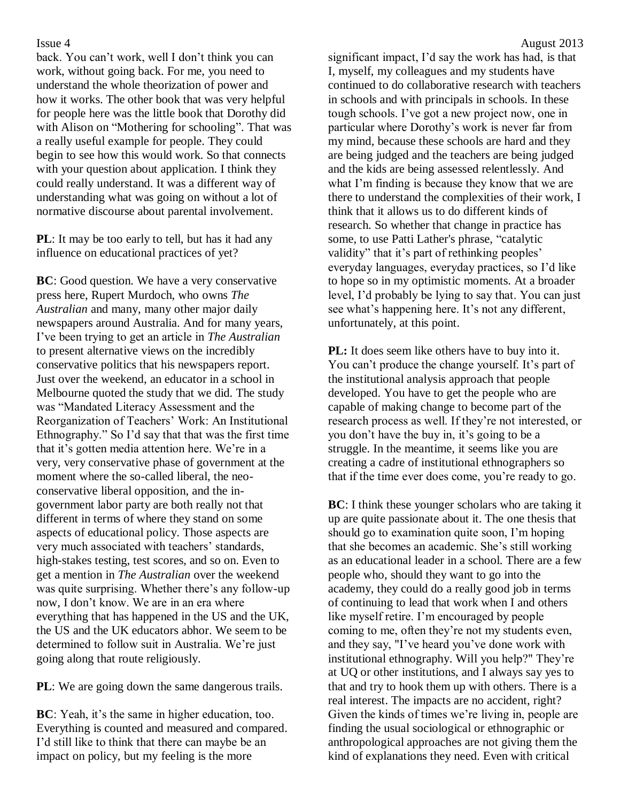back. You can't work, well I don't think you can work, without going back. For me, you need to understand the whole theorization of power and how it works. The other book that was very helpful for people here was the little book that Dorothy did with Alison on "Mothering for schooling". That was a really useful example for people. They could begin to see how this would work. So that connects with your question about application. I think they could really understand. It was a different way of understanding what was going on without a lot of normative discourse about parental involvement.

**PL**: It may be too early to tell, but has it had any influence on educational practices of yet?

**BC**: Good question. We have a very conservative press here, Rupert Murdoch, who owns *The Australian* and many, many other major daily newspapers around Australia. And for many years, I've been trying to get an article in *The Australian* to present alternative views on the incredibly conservative politics that his newspapers report. Just over the weekend, an educator in a school in Melbourne quoted the study that we did. The study was "Mandated Literacy Assessment and the Reorganization of Teachers' Work: An Institutional Ethnography." So I'd say that that was the first time that it's gotten media attention here. We're in a very, very conservative phase of government at the moment where the so-called liberal, the neoconservative liberal opposition, and the ingovernment labor party are both really not that different in terms of where they stand on some aspects of educational policy. Those aspects are very much associated with teachers' standards, high-stakes testing, test scores, and so on. Even to get a mention in *The Australian* over the weekend was quite surprising. Whether there's any follow-up now, I don't know. We are in an era where everything that has happened in the US and the UK, the US and the UK educators abhor. We seem to be determined to follow suit in Australia. We're just going along that route religiously.

**PL**: We are going down the same dangerous trails.

**BC**: Yeah, it's the same in higher education, too. Everything is counted and measured and compared. I'd still like to think that there can maybe be an impact on policy, but my feeling is the more

significant impact, I'd say the work has had, is that I, myself, my colleagues and my students have continued to do collaborative research with teachers in schools and with principals in schools. In these tough schools. I've got a new project now, one in particular where Dorothy's work is never far from my mind, because these schools are hard and they are being judged and the teachers are being judged and the kids are being assessed relentlessly. And what I'm finding is because they know that we are there to understand the complexities of their work, I think that it allows us to do different kinds of research. So whether that change in practice has some, to use Patti Lather's phrase, "catalytic validity" that it's part of rethinking peoples' everyday languages, everyday practices, so I'd like to hope so in my optimistic moments. At a broader level, I'd probably be lying to say that. You can just see what's happening here. It's not any different, unfortunately, at this point.

**PL:** It does seem like others have to buy into it. You can't produce the change yourself. It's part of the institutional analysis approach that people developed. You have to get the people who are capable of making change to become part of the research process as well. If they're not interested, or you don't have the buy in, it's going to be a struggle. In the meantime, it seems like you are creating a cadre of institutional ethnographers so that if the time ever does come, you're ready to go.

**BC**: I think these younger scholars who are taking it up are quite passionate about it. The one thesis that should go to examination quite soon, I'm hoping that she becomes an academic. She's still working as an educational leader in a school. There are a few people who, should they want to go into the academy, they could do a really good job in terms of continuing to lead that work when I and others like myself retire. I'm encouraged by people coming to me, often they're not my students even, and they say, "I've heard you've done work with institutional ethnography. Will you help?" They're at UQ or other institutions, and I always say yes to that and try to hook them up with others. There is a real interest. The impacts are no accident, right? Given the kinds of times we're living in, people are finding the usual sociological or ethnographic or anthropological approaches are not giving them the kind of explanations they need. Even with critical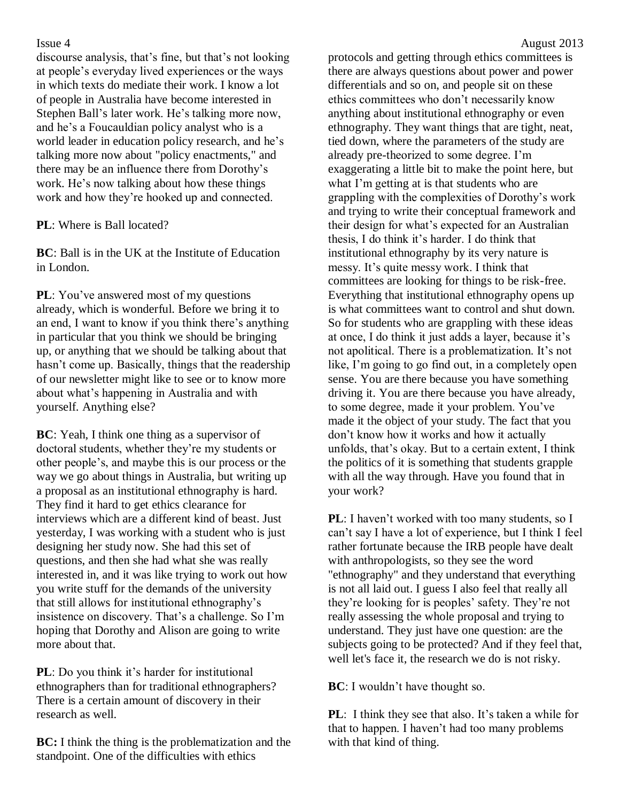discourse analysis, that's fine, but that's not looking at people's everyday lived experiences or the ways in which texts do mediate their work. I know a lot of people in Australia have become interested in Stephen Ball's later work. He's talking more now, and he's a Foucauldian policy analyst who is a world leader in education policy research, and he's talking more now about "policy enactments," and there may be an influence there from Dorothy's work. He's now talking about how these things work and how they're hooked up and connected.

**PL**: Where is Ball located?

**BC**: Ball is in the UK at the Institute of Education in London.

**PL**: You've answered most of my questions already, which is wonderful. Before we bring it to an end, I want to know if you think there's anything in particular that you think we should be bringing up, or anything that we should be talking about that hasn't come up. Basically, things that the readership of our newsletter might like to see or to know more about what's happening in Australia and with yourself. Anything else?

**BC**: Yeah, I think one thing as a supervisor of doctoral students, whether they're my students or other people's, and maybe this is our process or the way we go about things in Australia, but writing up a proposal as an institutional ethnography is hard. They find it hard to get ethics clearance for interviews which are a different kind of beast. Just yesterday, I was working with a student who is just designing her study now. She had this set of questions, and then she had what she was really interested in, and it was like trying to work out how you write stuff for the demands of the university that still allows for institutional ethnography's insistence on discovery. That's a challenge. So I'm hoping that Dorothy and Alison are going to write more about that.

**PL**: Do you think it's harder for institutional ethnographers than for traditional ethnographers? There is a certain amount of discovery in their research as well.

**BC:** I think the thing is the problematization and the standpoint. One of the difficulties with ethics

protocols and getting through ethics committees is there are always questions about power and power differentials and so on, and people sit on these ethics committees who don't necessarily know anything about institutional ethnography or even ethnography. They want things that are tight, neat, tied down, where the parameters of the study are already pre-theorized to some degree. I'm exaggerating a little bit to make the point here, but what I'm getting at is that students who are grappling with the complexities of Dorothy's work and trying to write their conceptual framework and their design for what's expected for an Australian thesis, I do think it's harder. I do think that institutional ethnography by its very nature is messy. It's quite messy work. I think that committees are looking for things to be risk-free. Everything that institutional ethnography opens up is what committees want to control and shut down. So for students who are grappling with these ideas at once, I do think it just adds a layer, because it's not apolitical. There is a problematization. It's not like, I'm going to go find out, in a completely open sense. You are there because you have something driving it. You are there because you have already, to some degree, made it your problem. You've made it the object of your study. The fact that you don't know how it works and how it actually unfolds, that's okay. But to a certain extent, I think the politics of it is something that students grapple with all the way through. Have you found that in your work?

**PL**: I haven't worked with too many students, so I can't say I have a lot of experience, but I think I feel rather fortunate because the IRB people have dealt with anthropologists, so they see the word "ethnography" and they understand that everything is not all laid out. I guess I also feel that really all they're looking for is peoples' safety. They're not really assessing the whole proposal and trying to understand. They just have one question: are the subjects going to be protected? And if they feel that, well let's face it, the research we do is not risky.

**BC**: I wouldn't have thought so.

**PL**: I think they see that also. It's taken a while for that to happen. I haven't had too many problems with that kind of thing.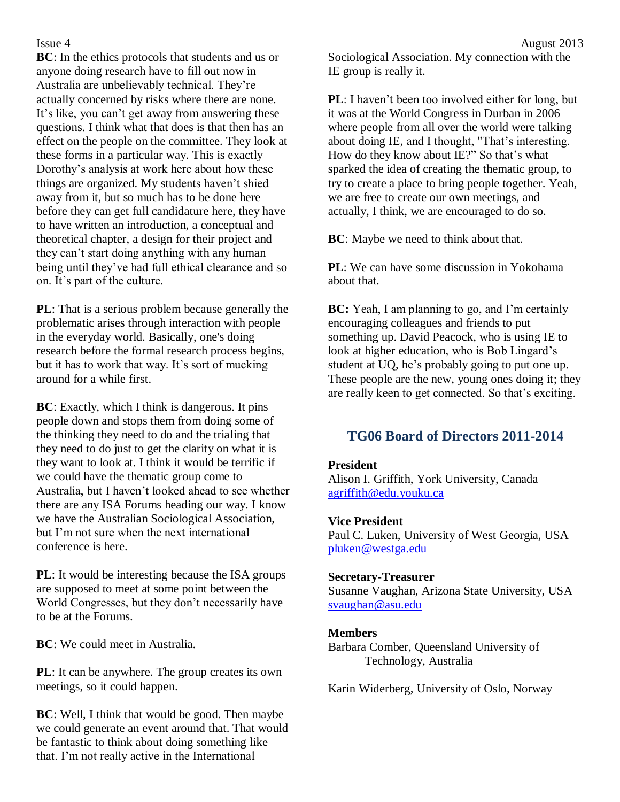**BC**: In the ethics protocols that students and us or anyone doing research have to fill out now in Australia are unbelievably technical. They're actually concerned by risks where there are none. It's like, you can't get away from answering these questions. I think what that does is that then has an effect on the people on the committee. They look at these forms in a particular way. This is exactly Dorothy's analysis at work here about how these things are organized. My students haven't shied away from it, but so much has to be done here before they can get full candidature here, they have to have written an introduction, a conceptual and theoretical chapter, a design for their project and they can't start doing anything with any human being until they've had full ethical clearance and so on. It's part of the culture.

**PL**: That is a serious problem because generally the problematic arises through interaction with people in the everyday world. Basically, one's doing research before the formal research process begins, but it has to work that way. It's sort of mucking around for a while first.

**BC**: Exactly, which I think is dangerous. It pins people down and stops them from doing some of the thinking they need to do and the trialing that they need to do just to get the clarity on what it is they want to look at. I think it would be terrific if we could have the thematic group come to Australia, but I haven't looked ahead to see whether there are any ISA Forums heading our way. I know we have the Australian Sociological Association, but I'm not sure when the next international conference is here.

**PL**: It would be interesting because the ISA groups are supposed to meet at some point between the World Congresses, but they don't necessarily have to be at the Forums.

**BC**: We could meet in Australia.

**PL**: It can be anywhere. The group creates its own meetings, so it could happen.

**BC**: Well, I think that would be good. Then maybe we could generate an event around that. That would be fantastic to think about doing something like that. I'm not really active in the International

Sociological Association. My connection with the IE group is really it.

**PL**: I haven't been too involved either for long, but it was at the World Congress in Durban in 2006 where people from all over the world were talking about doing IE, and I thought, "That's interesting. How do they know about IE?" So that's what sparked the idea of creating the thematic group, to try to create a place to bring people together. Yeah, we are free to create our own meetings, and actually, I think, we are encouraged to do so.

**BC**: Maybe we need to think about that.

**PL**: We can have some discussion in Yokohama about that.

**BC:** Yeah, I am planning to go, and I'm certainly encouraging colleagues and friends to put something up. David Peacock, who is using IE to look at higher education, who is Bob Lingard's student at UQ, he's probably going to put one up. These people are the new, young ones doing it; they are really keen to get connected. So that's exciting.

### **TG06 Board of Directors 2011-2014**

#### **President**

Alison I. Griffith, York University, Canada [agriffith@edu.youku.ca](mailto:agriffith@edu.youku.ca)

#### **Vice President**

Paul C. Luken, University of West Georgia, USA [pluken@westga.edu](mailto:pluken@westga.edu)

#### **Secretary-Treasurer**

Susanne Vaughan, Arizona State University, USA [svaughan@asu.edu](mailto:svaughan@asu.edu)

#### **Members**

Barbara Comber, Queensland University of Technology, Australia

Karin Widerberg, University of Oslo, Norway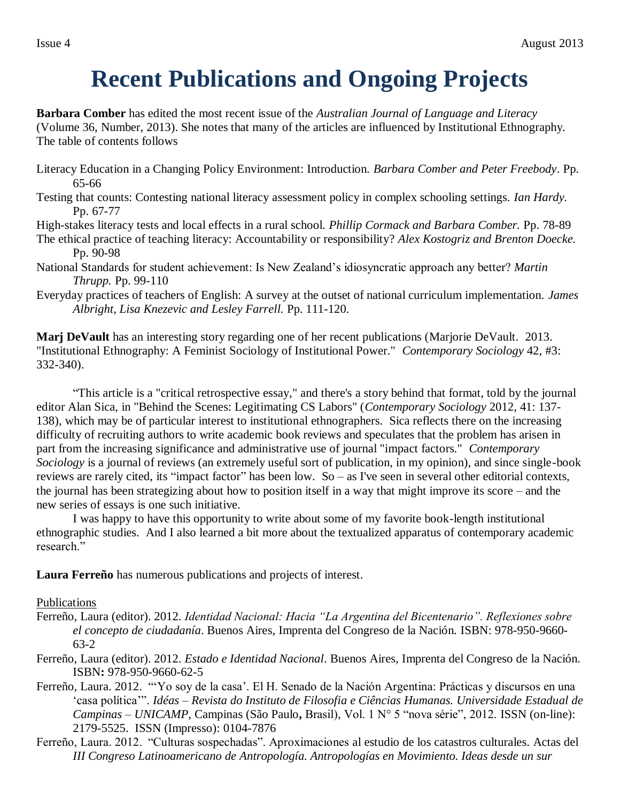## **Recent Publications and Ongoing Projects**

**Barbara Comber** has edited the most recent issue of the *Australian Journal of Language and Literacy* (Volume 36, Number, 2013). She notes that many of the articles are influenced by Institutional Ethnography. The table of contents follows

- Literacy Education in a Changing Policy Environment: Introduction. *Barbara Comber and Peter Freebody*. Pp. 65-66
- Testing that counts: Contesting national literacy assessment policy in complex schooling settings. *Ian Hardy.*  Pp. 67-77
- High-stakes literacy tests and local effects in a rural school. *Phillip Cormack and Barbara Comber.* Pp. 78-89
- The ethical practice of teaching literacy: Accountability or responsibility? *Alex Kostogriz and Brenton Doecke.*  Pp. 90-98
- National Standards for student achievement: Is New Zealand's idiosyncratic approach any better? *Martin Thrupp.* Pp. 99-110
- Everyday practices of teachers of English: A survey at the outset of national curriculum implementation. *James Albright, Lisa Knezevic and Lesley Farrell.* Pp. 111-120.

**Marj DeVault** has an interesting story regarding one of her recent publications (Marjorie DeVault. 2013. "Institutional Ethnography: A Feminist Sociology of Institutional Power." *Contemporary Sociology* 42, #3: 332-340).

"This article is a "critical retrospective essay," and there's a story behind that format, told by the journal editor Alan Sica, in "Behind the Scenes: Legitimating CS Labors" (*Contemporary Sociology* 2012, 41: 137- 138), which may be of particular interest to institutional ethnographers. Sica reflects there on the increasing difficulty of recruiting authors to write academic book reviews and speculates that the problem has arisen in part from the increasing significance and administrative use of journal "impact factors." *Contemporary Sociology* is a journal of reviews (an extremely useful sort of publication, in my opinion), and since single-book reviews are rarely cited, its "impact factor" has been low. So – as I've seen in several other editorial contexts, the journal has been strategizing about how to position itself in a way that might improve its score – and the new series of essays is one such initiative.

I was happy to have this opportunity to write about some of my favorite book-length institutional ethnographic studies. And I also learned a bit more about the textualized apparatus of contemporary academic research"

**Laura Ferreño** has numerous publications and projects of interest.

#### Publications

- Ferreño, Laura (editor). 2012. *Identidad Nacional: Hacia "La Argentina del Bicentenario". Reflexiones sobre el concepto de ciudadanía*. Buenos Aires, Imprenta del Congreso de la Nación. ISBN: 978-950-9660- 63-2
- Ferreño, Laura (editor). 2012. *Estado e Identidad Nacional*. Buenos Aires, Imprenta del Congreso de la Nación. ISBN**:** 978-950-9660-62-5
- Ferreño, Laura. 2012. "'Yo soy de la casa'. El H. Senado de la Nación Argentina: Prácticas y discursos en una 'casa política'". *Idéas – Revista do Instituto de Filosofia e Ciências Humanas. Universidade Estadual de Campinas – UNICAMP*, Campinas (São Paulo**,** Brasil), Vol. 1 N° 5 "nova série", 2012. ISSN (on-line): 2179-5525. ISSN (Impresso): 0104-7876
- Ferreño, Laura. 2012. "Culturas sospechadas". Aproximaciones al estudio de los catastros culturales. Actas del *III Congreso Latinoamericano de Antropología. Antropologías en Movimiento. Ideas desde un sur*